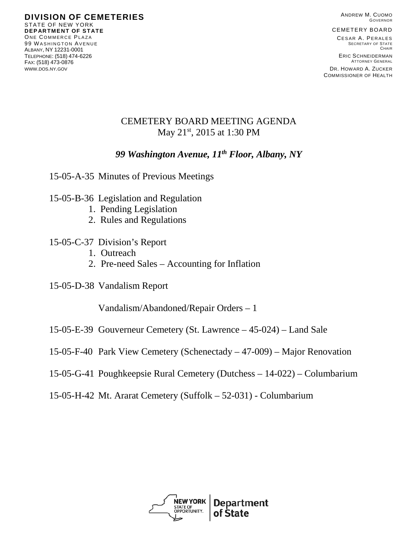ANDREW M. CUOMO GOVERNOR

CEMETERY BOARD

CESAR A. PERALES SECRETARY OF STATE **CHAIR** ERIC SCHNEIDERMAN ATTORNEY GENERAL

DR. HOWARD A. ZUCKER COMMISSIONER OF HEALTH

## CEMETERY BOARD MEETING AGENDA May 21<sup>st</sup>, 2015 at 1:30 PM

## *99 Washington Avenue, 11th Floor, Albany, NY*

- 15-05-A-35 Minutes of Previous Meetings
- 15-05-B-36 Legislation and Regulation
	- 1. Pending Legislation
	- 2. Rules and Regulations
- 15-05-C-37 Division's Report
	- 1. Outreach
	- 2. Pre-need Sales Accounting for Inflation
- 15-05-D-38 Vandalism Report

Vandalism/Abandoned/Repair Orders – 1

- 15-05-E-39 Gouverneur Cemetery (St. Lawrence 45-024) Land Sale
- 15-05-F-40 Park View Cemetery (Schenectady 47-009) Major Renovation
- 15-05-G-41 Poughkeepsie Rural Cemetery (Dutchess 14-022) Columbarium
- 15-05-H-42 Mt. Ararat Cemetery (Suffolk 52-031) Columbarium